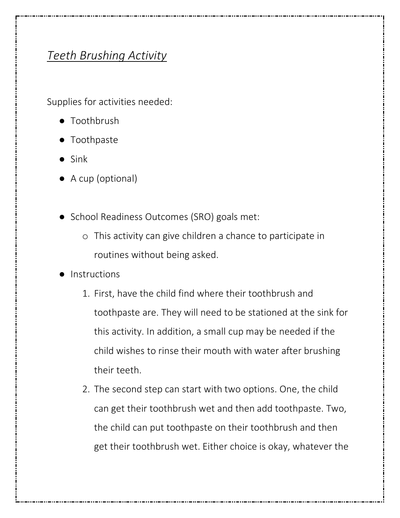## *Teeth Brushing Activity*

Supplies for activities needed:

- Toothbrush
- Toothpaste
- Sink
- A cup (optional)
- School Readiness Outcomes (SRO) goals met:
	- o This activity can give children a chance to participate in routines without being asked.
- **Instructions** 
	- 1. First, have the child find where their toothbrush and toothpaste are. They will need to be stationed at the sink for this activity. In addition, a small cup may be needed if the child wishes to rinse their mouth with water after brushing their teeth.
	- 2. The second step can start with two options. One, the child can get their toothbrush wet and then add toothpaste. Two, the child can put toothpaste on their toothbrush and then get their toothbrush wet. Either choice is okay, whatever the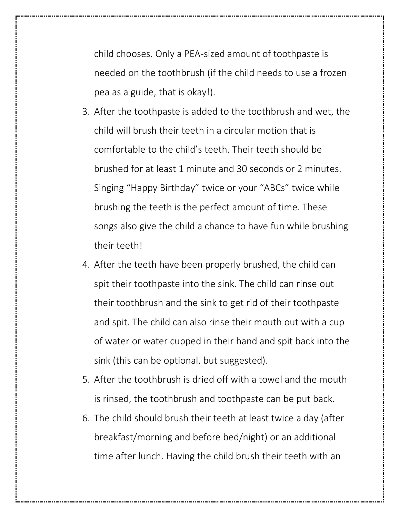child chooses. Only a PEA-sized amount of toothpaste is needed on the toothbrush (if the child needs to use a frozen pea as a guide, that is okay!).

- 3. After the toothpaste is added to the toothbrush and wet, the child will brush their teeth in a circular motion that is comfortable to the child's teeth. Their teeth should be brushed for at least 1 minute and 30 seconds or 2 minutes. Singing "Happy Birthday" twice or your "ABCs" twice while brushing the teeth is the perfect amount of time. These songs also give the child a chance to have fun while brushing their teeth!
- 4. After the teeth have been properly brushed, the child can spit their toothpaste into the sink. The child can rinse out their toothbrush and the sink to get rid of their toothpaste and spit. The child can also rinse their mouth out with a cup of water or water cupped in their hand and spit back into the sink (this can be optional, but suggested).
- 5. After the toothbrush is dried off with a towel and the mouth is rinsed, the toothbrush and toothpaste can be put back.
- 6. The child should brush their teeth at least twice a day (after breakfast/morning and before bed/night) or an additional time after lunch. Having the child brush their teeth with an